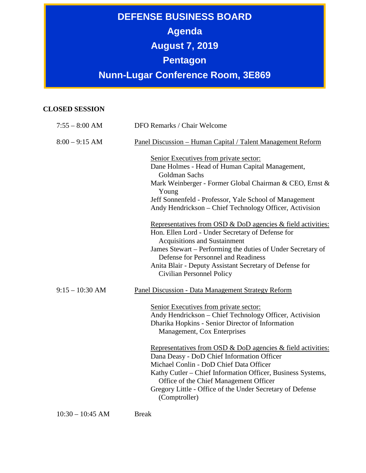## **DEFENSE BUSINESS BOARD Agenda August 7, 2019 Pentagon Nunn-Lugar Conference Room, 3E869**

## **CLOSED SESSION**

| $7:55 - 8:00$ AM  | DFO Remarks / Chair Welcome                                                                                                                                                                                                                                                                                                                          |
|-------------------|------------------------------------------------------------------------------------------------------------------------------------------------------------------------------------------------------------------------------------------------------------------------------------------------------------------------------------------------------|
| $8:00 - 9:15$ AM  | Panel Discussion - Human Capital / Talent Management Reform                                                                                                                                                                                                                                                                                          |
|                   | Senior Executives from private sector:<br>Dane Holmes - Head of Human Capital Management,<br><b>Goldman Sachs</b><br>Mark Weinberger - Former Global Chairman & CEO, Ernst &<br>Young<br>Jeff Sonnenfeld - Professor, Yale School of Management<br>Andy Hendrickson – Chief Technology Officer, Activision                                           |
|                   | Representatives from OSD & DoD agencies & field activities:<br>Hon. Ellen Lord - Under Secretary of Defense for<br><b>Acquisitions and Sustainment</b><br>James Stewart – Performing the duties of Under Secretary of<br>Defense for Personnel and Readiness<br>Anita Blair - Deputy Assistant Secretary of Defense for<br>Civilian Personnel Policy |
| $9:15 - 10:30$ AM | Panel Discussion - Data Management Strategy Reform                                                                                                                                                                                                                                                                                                   |
|                   | Senior Executives from private sector:<br>Andy Hendrickson – Chief Technology Officer, Activision<br>Dharika Hopkins - Senior Director of Information<br>Management, Cox Enterprises                                                                                                                                                                 |
|                   | Representatives from OSD & DoD agencies & field activities:<br>Dana Deasy - DoD Chief Information Officer<br>Michael Conlin - DoD Chief Data Officer<br>Kathy Cutler – Chief Information Officer, Business Systems,<br>Office of the Chief Management Officer<br>Gregory Little - Office of the Under Secretary of Defense<br>(Comptroller)          |

10:30 – 10:45 AM Break